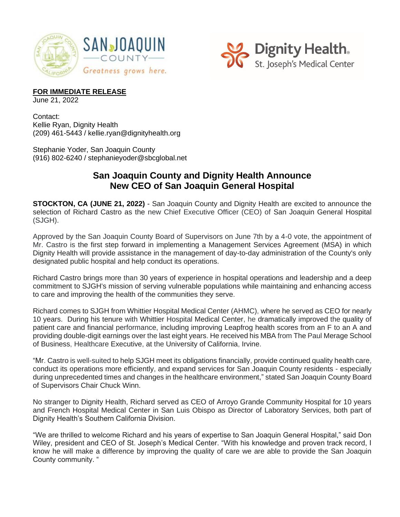



## **FOR IMMEDIATE RELEASE**

June 21, 2022

Contact: Kellie Ryan, Dignity Health (209) 461-5443 / kellie.ryan@dignityhealth.org

Stephanie Yoder, San Joaquin County (916) 802-6240 / stephanieyoder@sbcglobal.net

## **San Joaquin County and Dignity Health Announce New CEO of San Joaquin General Hospital**

**STOCKTON, CA (JUNE 21, 2022)** - San Joaquin County and Dignity Health are excited to announce the selection of Richard Castro as the new Chief Executive Officer (CEO) of San Joaquin General Hospital (SJGH).

Approved by the San Joaquin County Board of Supervisors on June 7th by a 4-0 vote, the appointment of Mr. Castro is the first step forward in implementing a Management Services Agreement (MSA) in which Dignity Health will provide assistance in the management of day-to-day administration of the County's only designated public hospital and help conduct its operations.

Richard Castro brings more than 30 years of experience in hospital operations and leadership and a deep commitment to SJGH's mission of serving vulnerable populations while maintaining and enhancing access to care and improving the health of the communities they serve.

Richard comes to SJGH from Whittier Hospital Medical Center (AHMC), where he served as CEO for nearly 10 years. During his tenure with Whittier Hospital Medical Center, he dramatically improved the quality of patient care and financial performance, including improving Leapfrog health scores from an F to an A and providing double-digit earnings over the last eight years. He received his MBA from The Paul Merage School of Business, Healthcare Executive, at the University of California, Irvine.

"Mr. Castro is well-suited to help SJGH meet its obligations financially, provide continued quality health care, conduct its operations more efficiently, and expand services for San Joaquin County residents - especially during unprecedented times and changes in the healthcare environment," stated San Joaquin County Board of Supervisors Chair Chuck Winn.

No stranger to Dignity Health, Richard served as CEO of Arroyo Grande Community Hospital for 10 years and French Hospital Medical Center in San Luis Obispo as Director of Laboratory Services, both part of Dignity Health's Southern California Division.

"We are thrilled to welcome Richard and his years of expertise to San Joaquin General Hospital," said Don Wiley, president and CEO of St. Joseph's Medical Center. "With his knowledge and proven track record, I know he will make a difference by improving the quality of care we are able to provide the San Joaquin County community. "